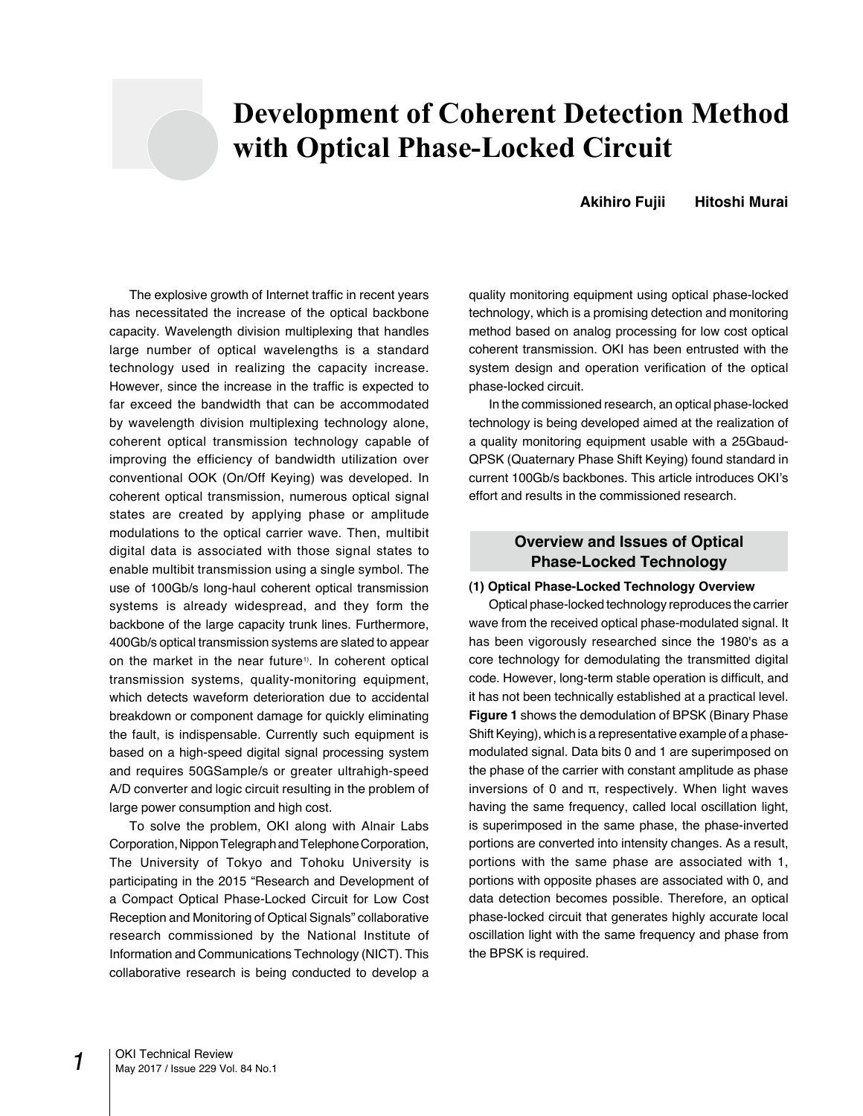# **Development of Coherent Detection Method with Optical Phase-Locked Circuit**

# **Akihiro Fujii Hitoshi Murai**

The explosive growth of Internet traffic in recent years has necessitated the increase of the optical backbone capacity. Wavelength division multiplexing that handles large number of optical wavelengths is a standard technology used in realizing the capacity increase. However, since the increase in the traffic is expected to far exceed the bandwidth that can be accommodated by wavelength division multiplexing technology alone, coherent optical transmission technology capable of improving the efficiency of bandwidth utilization over conventional OOK (On/Off Keying) was developed. In coherent optical transmission, numerous optical signal states are created by applying phase or amplitude modulations to the optical carrier wave. Then, multibit digital data is associated with those signal states to enable multibit transmission using a single symbol. The use of 100Gb/s long-haul coherent optical transmission systems is already widespread, and they form the backbone of the large capacity trunk lines. Furthermore, 400Gb/s optical transmission systems are slated to appear on the market in the near future<sup>1)</sup>. In coherent optical transmission systems, quality-monitoring equipment, which detects waveform deterioration due to accidental breakdown or component damage for quickly eliminating the fault, is indispensable. Currently such equipment is based on a high-speed digital signal processing system and requires 50GSample/s or greater ultrahigh-speed A/D converter and logic circuit resulting in the problem of large power consumption and high cost.

To solve the problem, OKI along with Alnair Labs Corporation, Nippon Telegraph and Telephone Corporation, The University of Tokyo and Tohoku University is participating in the 2015 "Research and Development of a Compact Optical Phase-Locked Circuit for Low Cost Reception and Monitoring of Optical Signals" collaborative research commissioned by the National Institute of Information and Communications Technology (NICT). This collaborative research is being conducted to develop a quality monitoring equipment using optical phase-locked technology, which is a promising detection and monitoring method based on analog processing for low cost optical coherent transmission. OKI has been entrusted with the system design and operation verification of the optical phase-locked circuit.

In the commissioned research, an optical phase-locked technology is being developed aimed at the realization of a quality monitoring equipment usable with a 25Gbaud-QPSK (Quaternary Phase Shift Keying) found standard in current 100Gb/s backbones. This article introduces OKI's effort and results in the commissioned research.

# **Overview and Issues of Optical Phase-Locked Technology**

# **(1) Optical Phase-Locked Technology Overview**

Optical phase-locked technology reproduces the carrier wave from the received optical phase-modulated signal. It has been vigorously researched since the 1980's as a core technology for demodulating the transmitted digital code. However, long-term stable operation is difficult, and it has not been technically established at a practical level. **Figure 1** shows the demodulation of BPSK (Binary Phase Shift Keying), which is a representative example of a phasemodulated signal. Data bits 0 and 1 are superimposed on the phase of the carrier with constant amplitude as phase inversions of 0 and π, respectively. When light waves having the same frequency, called local oscillation light, is superimposed in the same phase, the phase-inverted portions are converted into intensity changes. As a result, portions with the same phase are associated with 1, portions with opposite phases are associated with 0, and data detection becomes possible. Therefore, an optical phase-locked circuit that generates highly accurate local oscillation light with the same frequency and phase from the BPSK is required.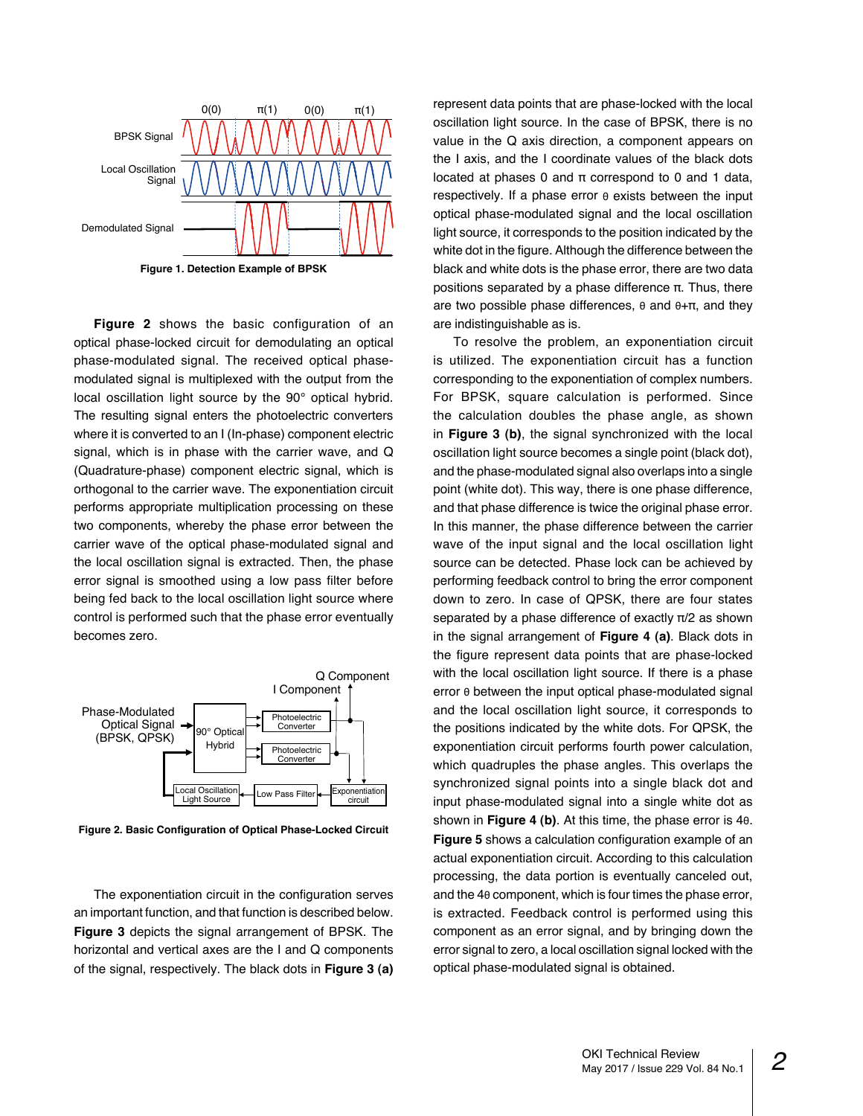

**Figure 2** shows the basic configuration of an optical phase-locked circuit for demodulating an optical phase-modulated signal. The received optical phasemodulated signal is multiplexed with the output from the local oscillation light source by the 90° optical hybrid. The resulting signal enters the photoelectric converters where it is converted to an I (In-phase) component electric signal, which is in phase with the carrier wave, and Q (Quadrature-phase) component electric signal, which is orthogonal to the carrier wave. The exponentiation circuit performs appropriate multiplication processing on these two components, whereby the phase error between the carrier wave of the optical phase-modulated signal and the local oscillation signal is extracted. Then, the phase error signal is smoothed using a low pass filter before being fed back to the local oscillation light source where control is performed such that the phase error eventually becomes zero.



**Figure 2. Basic Configuration of Optical Phase-Locked Circuit**

The exponentiation circuit in the configuration serves an important function, and that function is described below. **Figure 3** depicts the signal arrangement of BPSK. The horizontal and vertical axes are the I and Q components of the signal, respectively. The black dots in **Figure 3 (a)** 

represent data points that are phase-locked with the local oscillation light source. In the case of BPSK, there is no value in the Q axis direction, a component appears on the I axis, and the I coordinate values of the black dots located at phases 0 and π correspond to 0 and 1 data, respectively. If a phase error θ exists between the input optical phase-modulated signal and the local oscillation light source, it corresponds to the position indicated by the white dot in the figure. Although the difference between the black and white dots is the phase error, there are two data positions separated by a phase difference π. Thus, there are two possible phase differences, θ and θ+π, and they are indistinguishable as is.

To resolve the problem, an exponentiation circuit is utilized. The exponentiation circuit has a function corresponding to the exponentiation of complex numbers. For BPSK, square calculation is performed. Since the calculation doubles the phase angle, as shown in **Figure 3 (b)**, the signal synchronized with the local oscillation light source becomes a single point (black dot), and the phase-modulated signal also overlaps into a single point (white dot). This way, there is one phase difference, and that phase difference is twice the original phase error. In this manner, the phase difference between the carrier wave of the input signal and the local oscillation light source can be detected. Phase lock can be achieved by performing feedback control to bring the error component down to zero. In case of QPSK, there are four states separated by a phase difference of exactly π/2 as shown in the signal arrangement of **Figure 4 (a)**. Black dots in the figure represent data points that are phase-locked with the local oscillation light source. If there is a phase error θ between the input optical phase-modulated signal and the local oscillation light source, it corresponds to the positions indicated by the white dots. For QPSK, the exponentiation circuit performs fourth power calculation, which quadruples the phase angles. This overlaps the synchronized signal points into a single black dot and input phase-modulated signal into a single white dot as shown in **Figure 4 (b)**. At this time, the phase error is 4θ. **Figure 5** shows a calculation configuration example of an actual exponentiation circuit. According to this calculation processing, the data portion is eventually canceled out, and the 4θ component, which is four times the phase error, is extracted. Feedback control is performed using this component as an error signal, and by bringing down the error signal to zero, a local oscillation signal locked with the optical phase-modulated signal is obtained.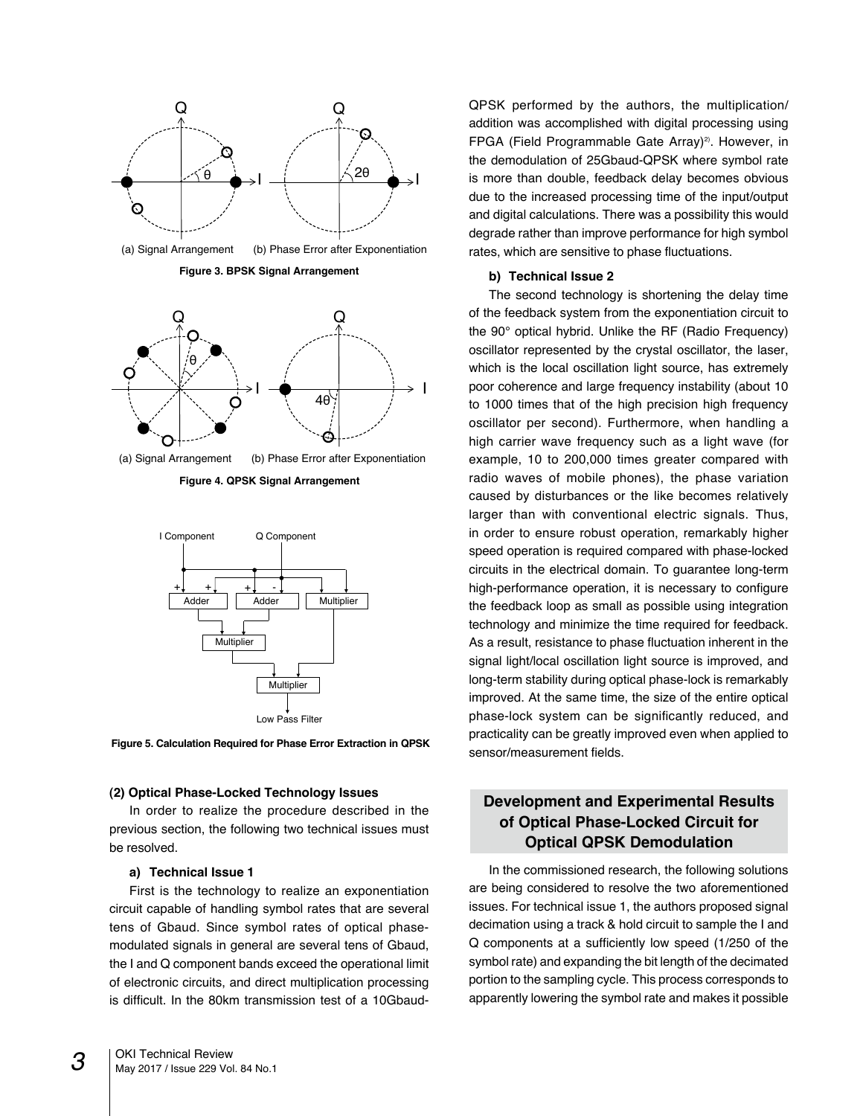

**Figure 4. QPSK Signal Arrangement**



**Figure 5. Calculation Required for Phase Error Extraction in QPSK**

### **(2) Optical Phase-Locked Technology Issues**

In order to realize the procedure described in the previous section, the following two technical issues must be resolved.

### **a) Technical Issue 1**

First is the technology to realize an exponentiation circuit capable of handling symbol rates that are several tens of Gbaud. Since symbol rates of optical phasemodulated signals in general are several tens of Gbaud, the I and Q component bands exceed the operational limit of electronic circuits, and direct multiplication processing is difficult. In the 80km transmission test of a 10GbaudQPSK performed by the authors, the multiplication/ addition was accomplished with digital processing using FPGA (Field Programmable Gate Array)<sup>2)</sup>. However, in the demodulation of 25Gbaud-QPSK where symbol rate is more than double, feedback delay becomes obvious due to the increased processing time of the input/output and digital calculations. There was a possibility this would degrade rather than improve performance for high symbol rates, which are sensitive to phase fluctuations.

## **b) Technical Issue 2**

The second technology is shortening the delay time of the feedback system from the exponentiation circuit to the 90° optical hybrid. Unlike the RF (Radio Frequency) oscillator represented by the crystal oscillator, the laser, which is the local oscillation light source, has extremely poor coherence and large frequency instability (about 10 to 1000 times that of the high precision high frequency oscillator per second). Furthermore, when handling a high carrier wave frequency such as a light wave (for example, 10 to 200,000 times greater compared with radio waves of mobile phones), the phase variation caused by disturbances or the like becomes relatively larger than with conventional electric signals. Thus, in order to ensure robust operation, remarkably higher speed operation is required compared with phase-locked circuits in the electrical domain. To guarantee long-term high-performance operation, it is necessary to configure the feedback loop as small as possible using integration technology and minimize the time required for feedback. As a result, resistance to phase fluctuation inherent in the signal light/local oscillation light source is improved, and long-term stability during optical phase-lock is remarkably improved. At the same time, the size of the entire optical phase-lock system can be significantly reduced, and practicality can be greatly improved even when applied to sensor/measurement fields.

# **Development and Experimental Results of Optical Phase-Locked Circuit for Optical QPSK Demodulation**

In the commissioned research, the following solutions are being considered to resolve the two aforementioned issues. For technical issue 1, the authors proposed signal decimation using a track & hold circuit to sample the I and Q components at a sufficiently low speed (1/250 of the symbol rate) and expanding the bit length of the decimated portion to the sampling cycle. This process corresponds to apparently lowering the symbol rate and makes it possible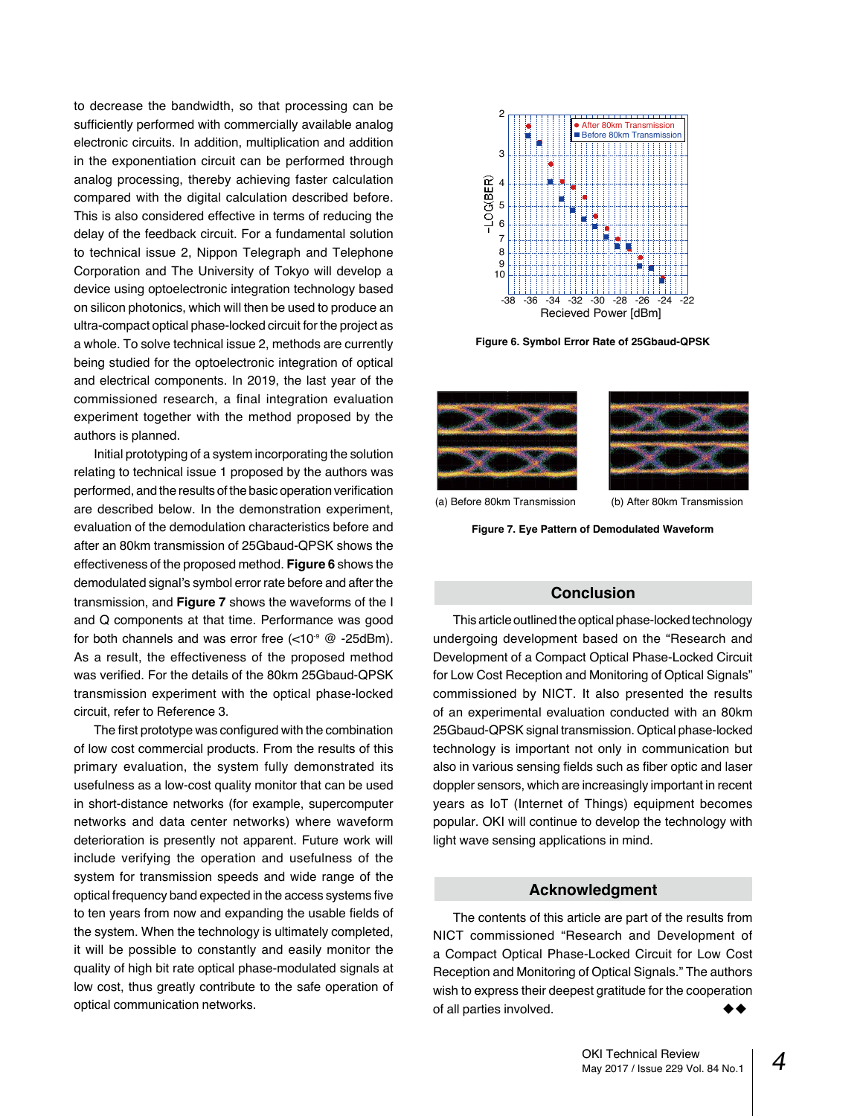to decrease the bandwidth, so that processing can be sufficiently performed with commercially available analog electronic circuits. In addition, multiplication and addition in the exponentiation circuit can be performed through analog processing, thereby achieving faster calculation compared with the digital calculation described before. This is also considered effective in terms of reducing the delay of the feedback circuit. For a fundamental solution to technical issue 2, Nippon Telegraph and Telephone Corporation and The University of Tokyo will develop a device using optoelectronic integration technology based on silicon photonics, which will then be used to produce an ultra-compact optical phase-locked circuit for the project as a whole. To solve technical issue 2, methods are currently being studied for the optoelectronic integration of optical and electrical components. In 2019, the last year of the commissioned research, a final integration evaluation experiment together with the method proposed by the authors is planned.

Initial prototyping of a system incorporating the solution relating to technical issue 1 proposed by the authors was performed, and the results of the basic operation verification are described below. In the demonstration experiment, evaluation of the demodulation characteristics before and after an 80km transmission of 25Gbaud-QPSK shows the effectiveness of the proposed method. **Figure 6** shows the demodulated signal's symbol error rate before and after the transmission, and **Figure 7** shows the waveforms of the I and Q components at that time. Performance was good for both channels and was error free  $(<10<sup>9</sup>$  @ -25dBm). As a result, the effectiveness of the proposed method was verified. For the details of the 80km 25Gbaud-QPSK transmission experiment with the optical phase-locked circuit, refer to Reference 3.

The first prototype was configured with the combination of low cost commercial products. From the results of this primary evaluation, the system fully demonstrated its usefulness as a low-cost quality monitor that can be used in short-distance networks (for example, supercomputer networks and data center networks) where waveform deterioration is presently not apparent. Future work will include verifying the operation and usefulness of the system for transmission speeds and wide range of the optical frequency band expected in the access systems five to ten years from now and expanding the usable fields of the system. When the technology is ultimately completed, it will be possible to constantly and easily monitor the quality of high bit rate optical phase-modulated signals at low cost, thus greatly contribute to the safe operation of optical communication networks.



**Figure 6. Symbol Error Rate of 25Gbaud-QPSK**





(a) Before 80km Transmission (b) After 80km Transmission

**Figure 7. Eye Pattern of Demodulated Waveform**

## **Conclusion**

This article outlined the optical phase-locked technology undergoing development based on the "Research and Development of a Compact Optical Phase-Locked Circuit for Low Cost Reception and Monitoring of Optical Signals" commissioned by NICT. It also presented the results of an experimental evaluation conducted with an 80km 25Gbaud-QPSK signal transmission. Optical phase-locked technology is important not only in communication but also in various sensing fields such as fiber optic and laser doppler sensors, which are increasingly important in recent years as IoT (Internet of Things) equipment becomes popular. OKI will continue to develop the technology with light wave sensing applications in mind.

## **Acknowledgment**

The contents of this article are part of the results from NICT commissioned "Research and Development of a Compact Optical Phase-Locked Circuit for Low Cost Reception and Monitoring of Optical Signals." The authors wish to express their deepest gratitude for the cooperation of all parties involved.